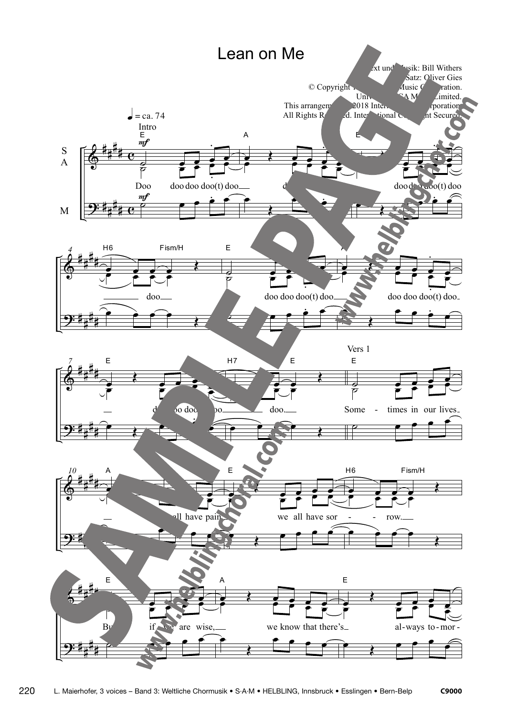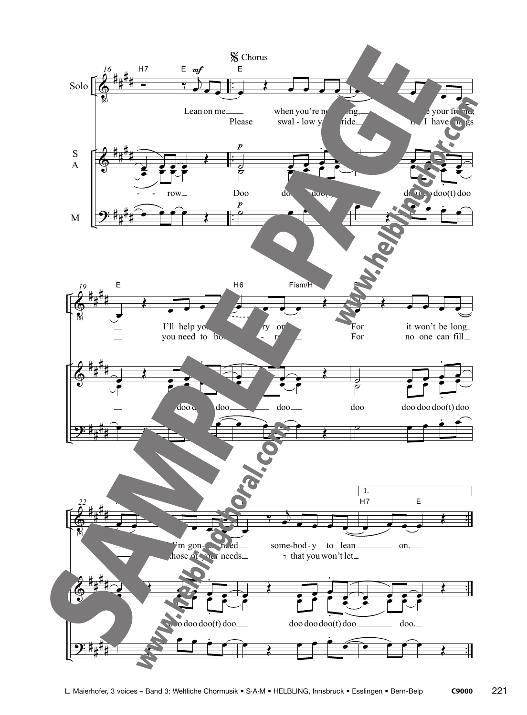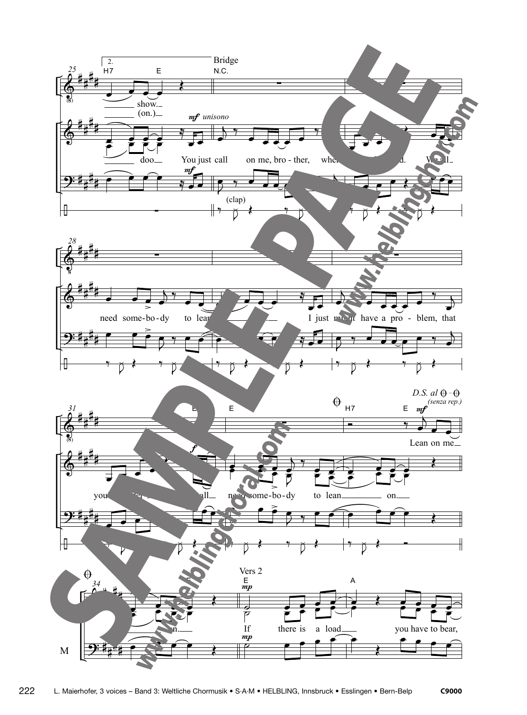